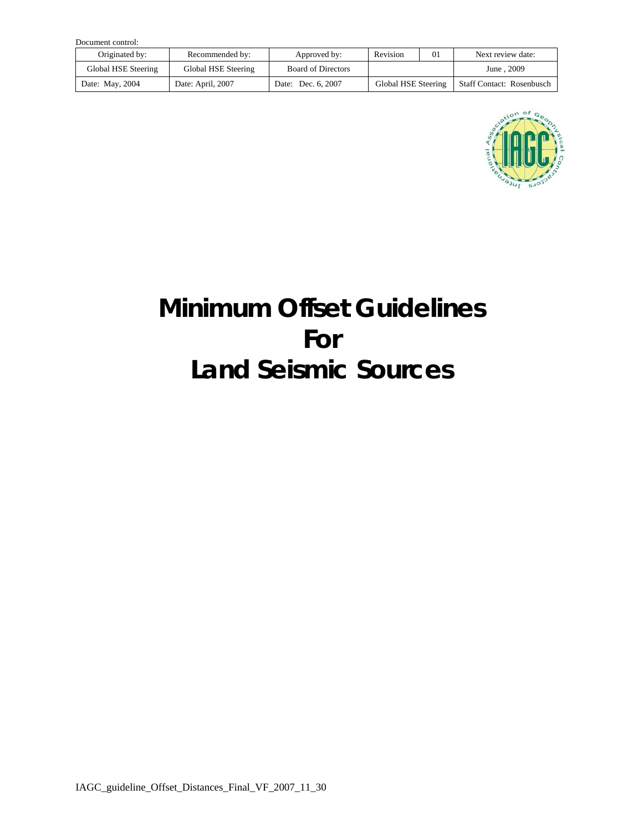| Document control:   |                     |                           |                     |    |                                  |  |  |  |
|---------------------|---------------------|---------------------------|---------------------|----|----------------------------------|--|--|--|
| Originated by:      | Recommended by:     | Revision<br>Approved by:  |                     | 01 | Next review date:                |  |  |  |
| Global HSE Steering | Global HSE Steering | <b>Board of Directors</b> |                     |    | June . 2009                      |  |  |  |
| Date: May, 2004     | Date: April, 2007   | Date: Dec. 6, 2007        | Global HSE Steering |    | <b>Staff Contact: Rosenbusch</b> |  |  |  |



# **Minimum Offset Guidelines For Land Seismic Sources**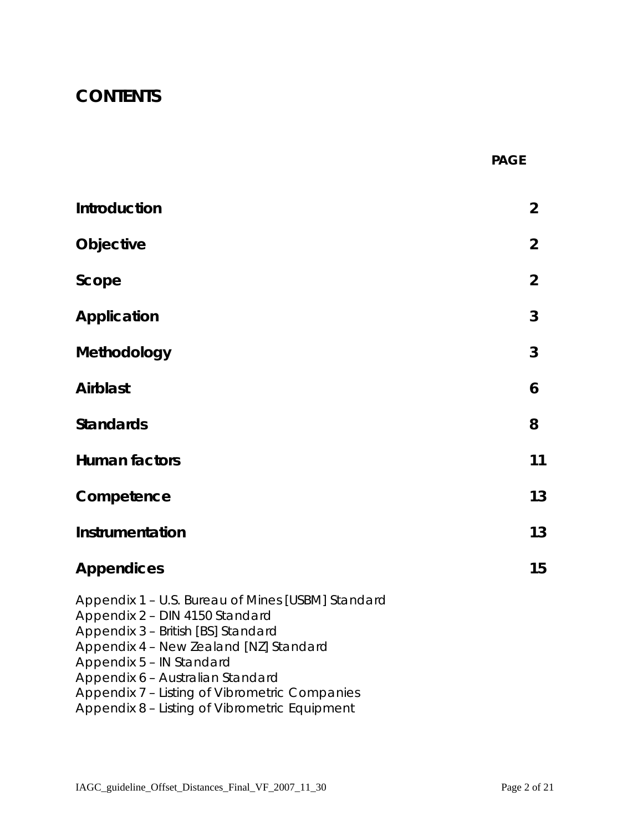## **CONTENTS**

|  | <b>PAGE</b> |
|--|-------------|
|--|-------------|

| Introduction                                                                                                                                                                                                                                                                         | $\overline{2}$ |
|--------------------------------------------------------------------------------------------------------------------------------------------------------------------------------------------------------------------------------------------------------------------------------------|----------------|
| Objective                                                                                                                                                                                                                                                                            | $\overline{2}$ |
| Scope                                                                                                                                                                                                                                                                                | $\overline{2}$ |
| <b>Application</b>                                                                                                                                                                                                                                                                   | 3              |
| Methodology                                                                                                                                                                                                                                                                          | 3              |
| <b>Airblast</b>                                                                                                                                                                                                                                                                      | 6              |
| <b>Standards</b>                                                                                                                                                                                                                                                                     | 8              |
| <b>Human factors</b>                                                                                                                                                                                                                                                                 | 11             |
| Competence                                                                                                                                                                                                                                                                           | 13             |
| Instrumentation                                                                                                                                                                                                                                                                      | 13             |
| <b>Appendices</b>                                                                                                                                                                                                                                                                    | 15             |
| Appendix 1 - U.S. Bureau of Mines [USBM] Standard<br>Appendix 2 - DIN 4150 Standard<br>Appendix 3 - British [BS] Standard<br>Appendix 4 - New Zealand [NZ] Standard<br>Appendix 5 - IN Standard<br>Appendix 6 - Australian Standard<br>Appendix 7 – Listing of Vibrometric Companies |                |

Appendix 8 – Listing of Vibrometric Equipment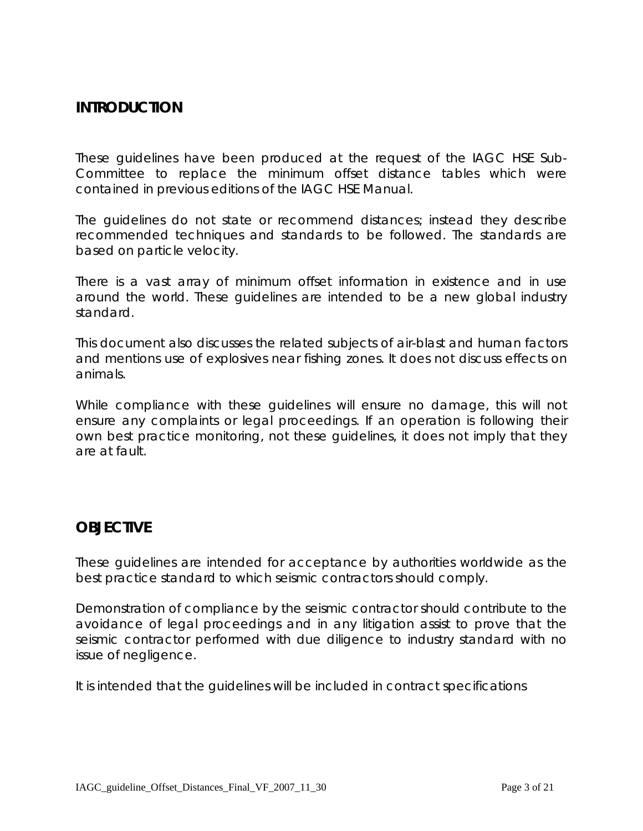## **INTRODUCTION**

These guidelines have been produced at the request of the IAGC HSE Sub-Committee to replace the minimum offset distance tables which were contained in previous editions of the IAGC HSE Manual.

The guidelines do not state or recommend distances; instead they describe recommended techniques and standards to be followed. The standards are based on particle velocity.

There is a vast array of minimum offset information in existence and in use around the world. These guidelines are intended to be a new global industry standard.

This document also discusses the related subjects of air-blast and human factors and mentions use of explosives near fishing zones. It does not discuss effects on animals.

While compliance with these guidelines will ensure no damage, this will not ensure any complaints or legal proceedings. If an operation is following their own best practice monitoring, not these guidelines, it does not imply that they are at fault.

## **OBJECTIVE**

These guidelines are intended for acceptance by authorities worldwide as the best practice standard to which seismic contractors should comply.

Demonstration of compliance by the seismic contractor should contribute to the avoidance of legal proceedings and in any litigation assist to prove that the seismic contractor performed with due diligence to industry standard with no issue of negligence.

It is intended that the guidelines will be included in contract specifications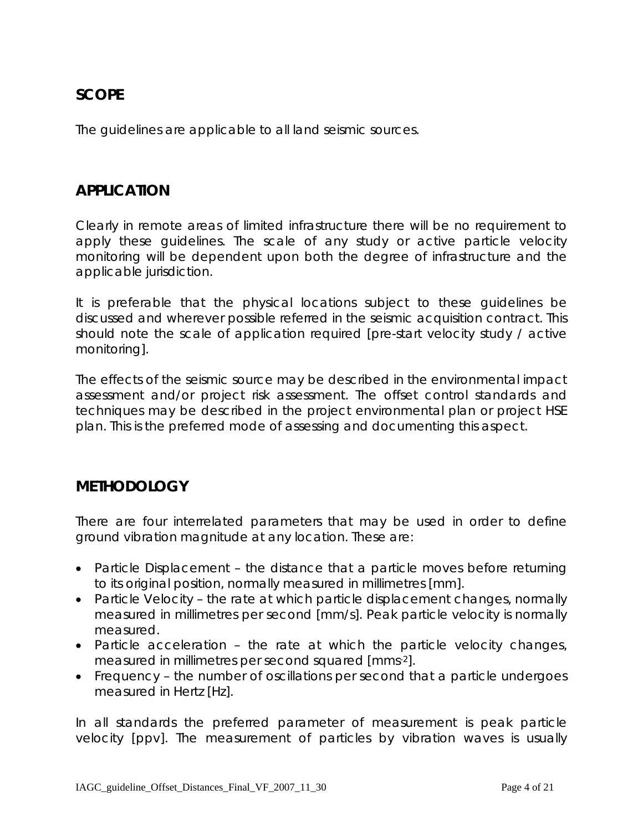## **SCOPE**

The guidelines are applicable to all land seismic sources.

#### **APPLICATION**

Clearly in remote areas of limited infrastructure there will be no requirement to apply these guidelines. The scale of any study or active particle velocity monitoring will be dependent upon both the degree of infrastructure and the applicable jurisdiction.

It is preferable that the physical locations subject to these guidelines be discussed and wherever possible referred in the seismic acquisition contract. This should note the scale of application required [pre-start velocity study / active monitoring].

The effects of the seismic source may be described in the environmental impact assessment and/or project risk assessment. The offset control standards and techniques may be described in the project environmental plan or project HSE plan. This is the preferred mode of assessing and documenting this aspect.

#### **METHODOLOGY**

There are four interrelated parameters that may be used in order to define ground vibration magnitude at any location. These are:

- Particle Displacement the distance that a particle moves before returning to its original position, normally measured in millimetres [mm].
- Particle Velocity the rate at which particle displacement changes, normally measured in millimetres per second [mm/s]. Peak particle velocity is normally measured.
- Particle acceleration the rate at which the particle velocity changes, measured in millimetres per second squared [mms-2].
- Frequency the number of oscillations per second that a particle undergoes measured in Hertz [Hz].

In all standards the preferred parameter of measurement is peak particle velocity [ppv]. The measurement of particles by vibration waves is usually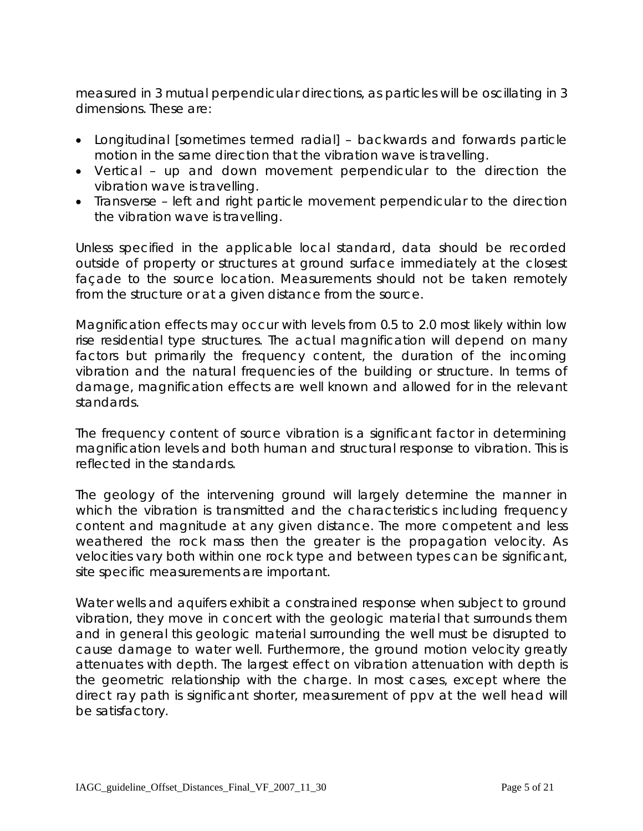measured in 3 mutual perpendicular directions, as particles will be oscillating in 3 dimensions. These are:

- Longitudinal [sometimes termed radial] backwards and forwards particle motion in the same direction that the vibration wave is travelling.
- Vertical up and down movement perpendicular to the direction the vibration wave is travelling.
- Transverse left and right particle movement perpendicular to the direction the vibration wave is travelling.

Unless specified in the applicable local standard, data should be recorded outside of property or structures at ground surface immediately at the closest façade to the source location. Measurements should not be taken remotely from the structure or at a given distance from the source.

Magnification effects may occur with levels from 0.5 to 2.0 most likely within low rise residential type structures. The actual magnification will depend on many factors but primarily the frequency content, the duration of the incoming vibration and the natural frequencies of the building or structure. In terms of damage, magnification effects are well known and allowed for in the relevant standards.

The frequency content of source vibration is a significant factor in determining magnification levels and both human and structural response to vibration. This is reflected in the standards.

The geology of the intervening ground will largely determine the manner in which the vibration is transmitted and the characteristics including frequency content and magnitude at any given distance. The more competent and less weathered the rock mass then the greater is the propagation velocity. As velocities vary both within one rock type and between types can be significant, site specific measurements are important.

Water wells and aquifers exhibit a constrained response when subject to ground vibration, they move in concert with the geologic material that surrounds them and in general this geologic material surrounding the well must be disrupted to cause damage to water well. Furthermore, the ground motion velocity greatly attenuates with depth. The largest effect on vibration attenuation with depth is the geometric relationship with the charge. In most cases, except where the direct ray path is significant shorter, measurement of ppv at the well head will be satisfactory.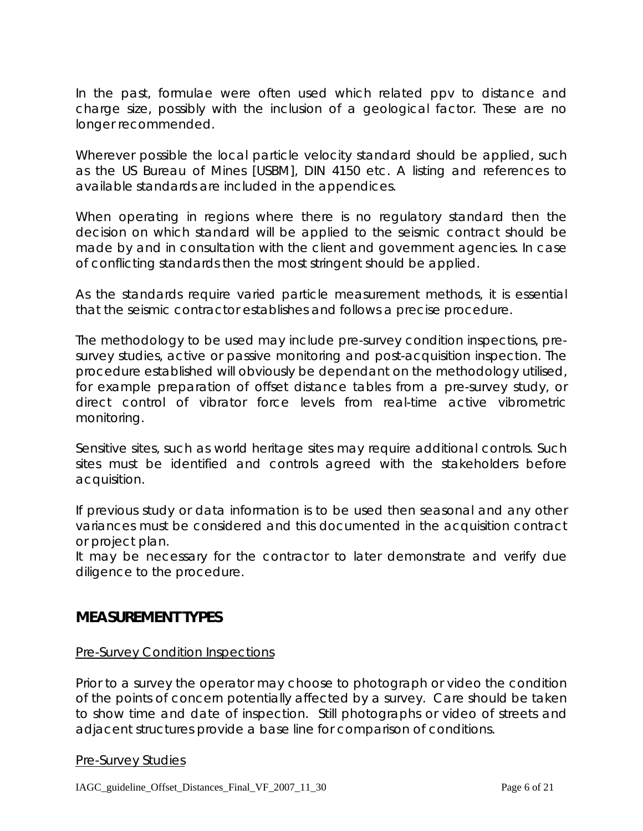In the past, formulae were often used which related ppv to distance and charge size, possibly with the inclusion of a geological factor. These are no longer recommended.

Wherever possible the local particle velocity standard should be applied, such as the US Bureau of Mines [USBM], DIN 4150 etc. A listing and references to available standards are included in the appendices.

When operating in regions where there is no regulatory standard then the decision on which standard will be applied to the seismic contract should be made by and in consultation with the client and government agencies. In case of conflicting standards then the most stringent should be applied.

As the standards require varied particle measurement methods, it is essential that the seismic contractor establishes and follows a precise procedure.

The methodology to be used may include pre-survey condition inspections, presurvey studies, active or passive monitoring and post-acquisition inspection. The procedure established will obviously be dependant on the methodology utilised, for example preparation of offset distance tables from a pre-survey study, or direct control of vibrator force levels from real-time active vibrometric monitoring.

Sensitive sites, such as world heritage sites may require additional controls. Such sites must be identified and controls agreed with the stakeholders before acquisition.

If previous study or data information is to be used then seasonal and any other variances must be considered and this documented in the acquisition contract or project plan.

It may be necessary for the contractor to later demonstrate and verify due diligence to the procedure.

#### **MEASUREMENT TYPES**

#### Pre-Survey Condition Inspections

Prior to a survey the operator may choose to photograph or video the condition of the points of concern potentially affected by a survey. Care should be taken to show time and date of inspection. Still photographs or video of streets and adjacent structures provide a base line for comparison of conditions.

#### Pre-Survey Studies

IAGC\_guideline\_Offset\_Distances\_Final\_VF\_2007\_11\_30 Page 6 of 21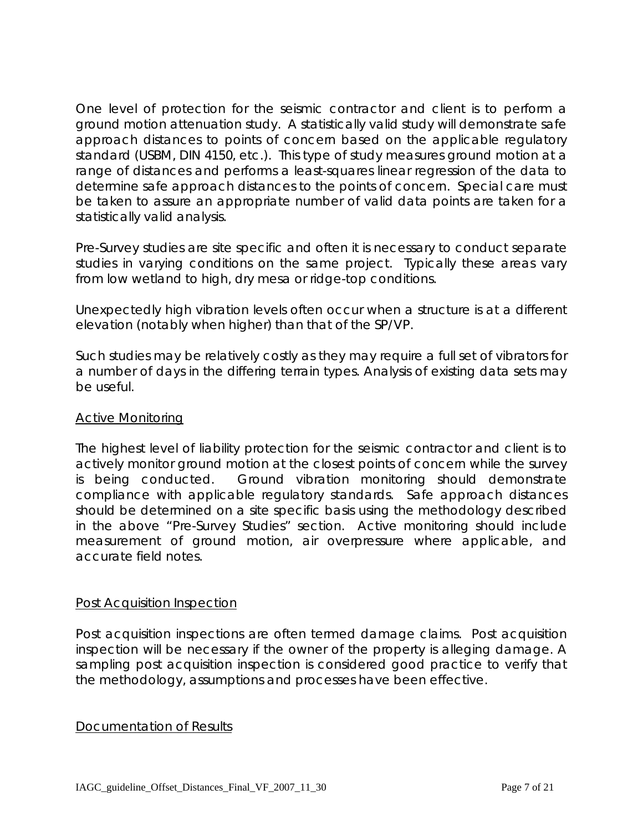One level of protection for the seismic contractor and client is to perform a ground motion attenuation study. A statistically valid study will demonstrate safe approach distances to points of concern based on the applicable regulatory standard (USBM, DIN 4150, etc.). This type of study measures ground motion at a range of distances and performs a least-squares linear regression of the data to determine safe approach distances to the points of concern. Special care must be taken to assure an appropriate number of valid data points are taken for a statistically valid analysis.

Pre-Survey studies are site specific and often it is necessary to conduct separate studies in varying conditions on the same project. Typically these areas vary from low wetland to high, dry mesa or ridge-top conditions.

Unexpectedly high vibration levels often occur when a structure is at a different elevation (notably when higher) than that of the SP/VP.

Such studies may be relatively costly as they may require a full set of vibrators for a number of days in the differing terrain types. Analysis of existing data sets may be useful.

#### Active Monitoring

The highest level of liability protection for the seismic contractor and client is to actively monitor ground motion at the closest points of concern while the survey is being conducted. Ground vibration monitoring should demonstrate compliance with applicable regulatory standards. Safe approach distances should be determined on a site specific basis using the methodology described in the above "Pre-Survey Studies" section. Active monitoring should include measurement of ground motion, air overpressure where applicable, and accurate field notes.

#### Post Acquisition Inspection

Post acquisition inspections are often termed damage claims. Post acquisition inspection will be necessary if the owner of the property is alleging damage. A sampling post acquisition inspection is considered good practice to verify that the methodology, assumptions and processes have been effective.

#### Documentation of Results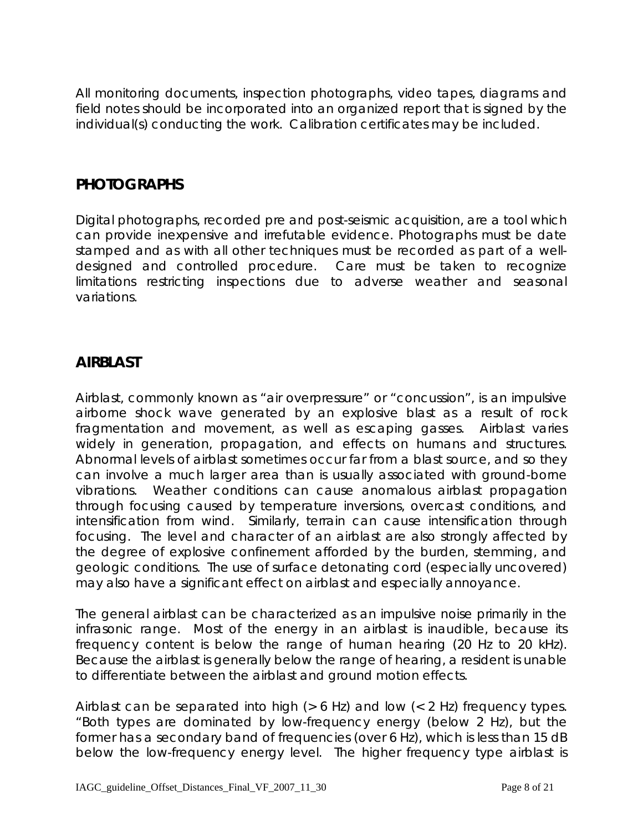All monitoring documents, inspection photographs, video tapes, diagrams and field notes should be incorporated into an organized report that is signed by the individual(s) conducting the work. Calibration certificates may be included.

## **PHOTOGRAPHS**

Digital photographs, recorded pre and post-seismic acquisition, are a tool which can provide inexpensive and irrefutable evidence. Photographs must be date stamped and as with all other techniques must be recorded as part of a welldesigned and controlled procedure. Care must be taken to recognize limitations restricting inspections due to adverse weather and seasonal variations.

## **AIRBLAST**

Airblast, commonly known as "air overpressure" or "concussion", is an impulsive airborne shock wave generated by an explosive blast as a result of rock fragmentation and movement, as well as escaping gasses. Airblast varies widely in generation, propagation, and effects on humans and structures. Abnormal levels of airblast sometimes occur far from a blast source, and so they can involve a much larger area than is usually associated with ground-borne vibrations. Weather conditions can cause anomalous airblast propagation through focusing caused by temperature inversions, overcast conditions, and intensification from wind. Similarly, terrain can cause intensification through focusing. The level and character of an airblast are also strongly affected by the degree of explosive confinement afforded by the burden, stemming, and geologic conditions. The use of surface detonating cord (especially uncovered) may also have a significant effect on airblast and especially annoyance.

The general airblast can be characterized as an impulsive noise primarily in the infrasonic range. Most of the energy in an airblast is inaudible, because its frequency content is below the range of human hearing (20 Hz to 20 kHz). Because the airblast is generally below the range of hearing, a resident is unable to differentiate between the airblast and ground motion effects.

Airblast can be separated into high (> 6 Hz) and low (< 2 Hz) frequency types. "Both types are dominated by low-frequency energy (below 2 Hz), but the former has a secondary band of frequencies (over 6 Hz), which is less than 15 dB below the low-frequency energy level. The higher frequency type airblast is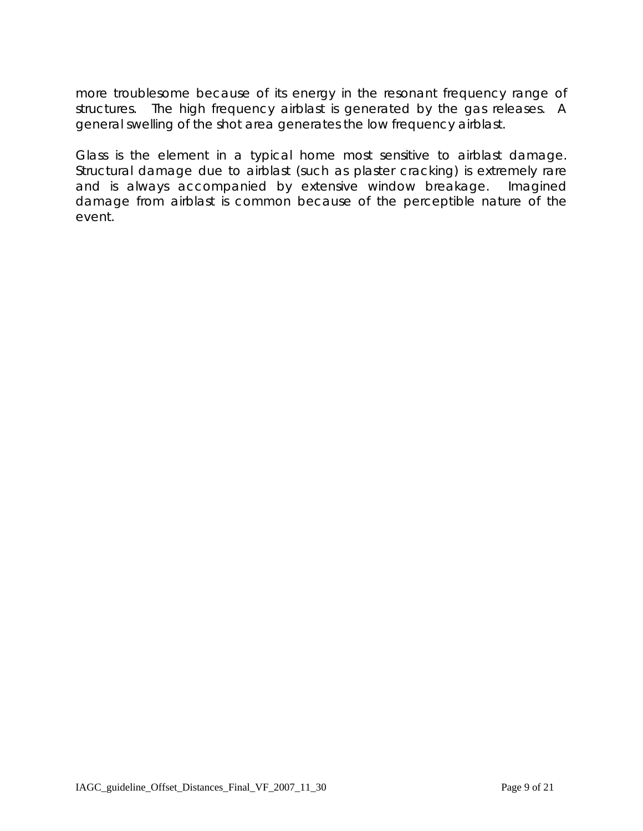more troublesome because of its energy in the resonant frequency range of structures. The high frequency airblast is generated by the gas releases. A general swelling of the shot area generates the low frequency airblast.

Glass is the element in a typical home most sensitive to airblast damage. Structural damage due to airblast (such as plaster cracking) is extremely rare and is always accompanied by extensive window breakage. Imagined damage from airblast is common because of the perceptible nature of the event.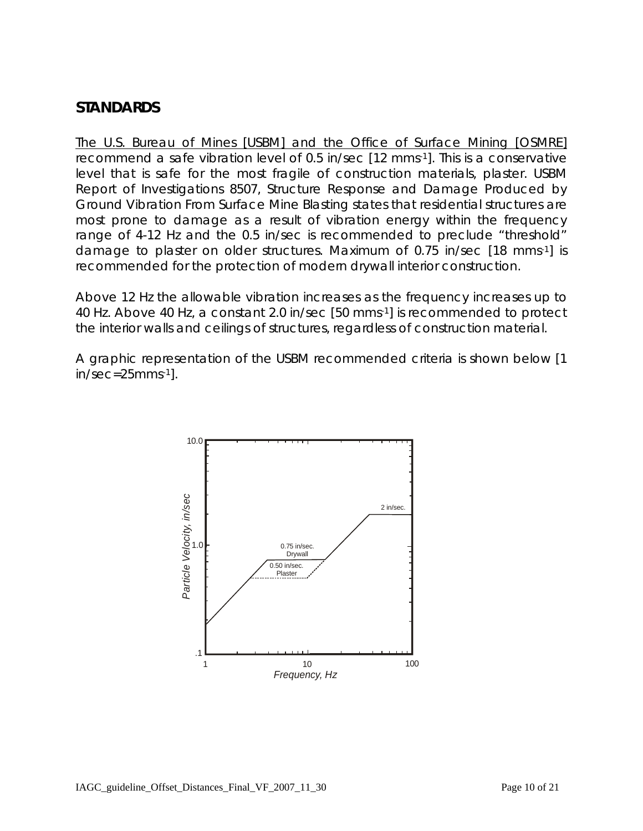## **STANDARDS**

The U.S. Bureau of Mines [USBM] and the Office of Surface Mining [OSMRE] recommend a safe vibration level of 0.5 in/sec [12 mms-1]. This is a conservative level that is safe for the most fragile of construction materials, plaster. USBM Report of Investigations 8507, Structure Response and Damage Produced by Ground Vibration From Surface Mine Blasting states that residential structures are most prone to damage as a result of vibration energy within the frequency range of 4-12 Hz and the 0.5 in/sec is recommended to preclude "threshold" damage to plaster on older structures. Maximum of 0.75 in/sec [18 mms-1] is recommended for the protection of modern drywall interior construction.

Above 12 Hz the allowable vibration increases as the frequency increases up to 40 Hz. Above 40 Hz, a constant 2.0 in/sec [50 mms-1] is recommended to protect the interior walls and ceilings of structures, regardless of construction material.

A graphic representation of the USBM recommended criteria is shown below [1 in/sec=25mms-1].

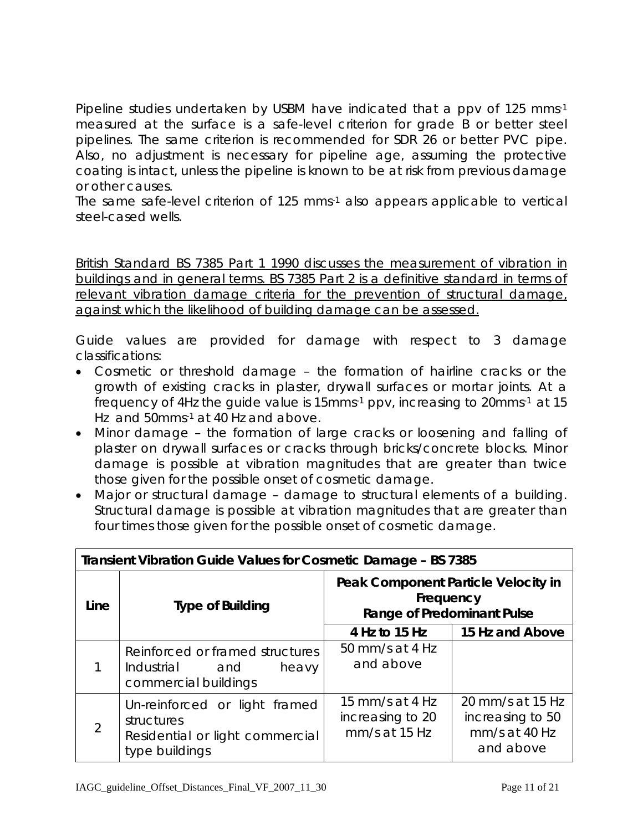Pipeline studies undertaken by USBM have indicated that a ppv of 125 mms-1 measured at the surface is a safe-level criterion for grade B or better steel pipelines. The same criterion is recommended for SDR 26 or better PVC pipe. Also, no adjustment is necessary for pipeline age, assuming the protective coating is intact, unless the pipeline is known to be at risk from previous damage or other causes.

The same safe-level criterion of 125 mms-1 also appears applicable to vertical steel-cased wells.

British Standard BS 7385 Part 1 1990 discusses the measurement of vibration in buildings and in general terms. BS 7385 Part 2 is a definitive standard in terms of relevant vibration damage criteria for the prevention of structural damage, against which the likelihood of building damage can be assessed.

Guide values are provided for damage with respect to 3 damage classifications:

- Cosmetic or threshold damage the formation of hairline cracks or the growth of existing cracks in plaster, drywall surfaces or mortar joints. At a  $r_{\text{frequency}}$  of 4Hz the guide value is 15mms $\cdot$ 1 ppv, increasing to 20mms $\cdot$ 1 at 15 Hz and 50mms-1 at 40 Hz and above.
- Minor damage the formation of large cracks or loosening and falling of plaster on drywall surfaces or cracks through bricks/concrete blocks. Minor damage is possible at vibration magnitudes that are greater than twice those given for the possible onset of cosmetic damage.
- Major or structural damage damage to structural elements of a building. Structural damage is possible at vibration magnitudes that are greater than four times those given for the possible onset of cosmetic damage.

| <b>Transient Vibration Guide Values for Cosmetic Damage - BS 7385</b> |                                                                                                  |                                                                                       |                                                                    |  |  |
|-----------------------------------------------------------------------|--------------------------------------------------------------------------------------------------|---------------------------------------------------------------------------------------|--------------------------------------------------------------------|--|--|
| Line                                                                  | <b>Type of Building</b>                                                                          | Peak Component Particle Velocity in<br>Frequency<br><b>Range of Predominant Pulse</b> |                                                                    |  |  |
|                                                                       |                                                                                                  | 4 Hz to 15 Hz                                                                         | 15 Hz and Above                                                    |  |  |
|                                                                       | Reinforced or framed structures<br>Industrial and<br>heavy<br>commercial buildings               | 50 mm/s at 4 Hz<br>and above                                                          |                                                                    |  |  |
| $\overline{2}$                                                        | Un-reinforced or light framed<br>structures<br>Residential or light commercial<br>type buildings | 15 mm/s at 4 Hz<br>increasing to 20<br>$mm/s$ at 15 Hz                                | 20 mm/s at 15 Hz<br>increasing to 50<br>mm/s at 40 Hz<br>and above |  |  |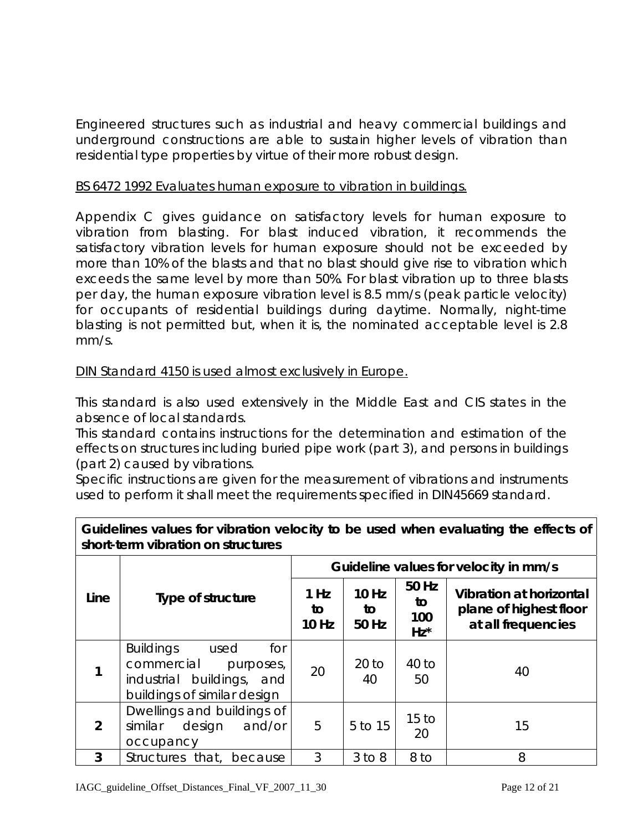Engineered structures such as industrial and heavy commercial buildings and underground constructions are able to sustain higher levels of vibration than residential type properties by virtue of their more robust design.

#### BS 6472 1992 Evaluates human exposure to vibration in buildings.

Appendix C gives guidance on satisfactory levels for human exposure to vibration from blasting. For blast induced vibration, it recommends the satisfactory vibration levels for human exposure should not be exceeded by more than 10% of the blasts and that no blast should give rise to vibration which exceeds the same level by more than 50%. For blast vibration up to three blasts per day, the human exposure vibration level is 8.5 mm/s (peak particle velocity) for occupants of residential buildings during daytime. Normally, night-time blasting is not permitted but, when it is, the nominated acceptable level is 2.8 mm/s.

DIN Standard 4150 is used almost exclusively in Europe.

This standard is also used extensively in the Middle East and CIS states in the absence of local standards.

This standard contains instructions for the determination and estimation of the effects on structures including buried pipe work (part 3), and persons in buildings (part 2) caused by vibrations.

Specific instructions are given for the measurement of vibrations and instruments used to perform it shall meet the requirements specified in DIN45669 standard.

| SHOIT-TEHTI VIDI ATIOH OH STIUCTULES |                                                                                                                           |                                       |                             |                              |                                                                                |
|--------------------------------------|---------------------------------------------------------------------------------------------------------------------------|---------------------------------------|-----------------------------|------------------------------|--------------------------------------------------------------------------------|
|                                      |                                                                                                                           | Guideline values for velocity in mm/s |                             |                              |                                                                                |
| Line                                 | Type of structure                                                                                                         | 1 Hz<br>to<br><b>10 Hz</b>            | <b>10 Hz</b><br>to<br>50 Hz | 50 Hz<br>to<br>100<br>$Hz^*$ | <b>Vibration at horizontal</b><br>plane of highest floor<br>at all frequencies |
|                                      | <b>Buildings</b><br>for<br>used<br>commercial<br>purposes,<br>buildings, and<br>industrial<br>buildings of similar design | 20                                    | $20$ to<br>40               | $40$ to<br>50                | 40                                                                             |
| $\overline{2}$                       | Dwellings and buildings of<br>similar<br>design<br>and/or<br>occupancy                                                    | 5                                     | 5 to 15                     | 15 <sub>to</sub><br>20       | 15                                                                             |
| 3                                    | Structures that, because                                                                                                  | 3                                     | $3$ to $8$                  | 8 to                         | 8                                                                              |

**Guidelines values for vibration velocity to be used when evaluating the effects of short-term vibration on structures**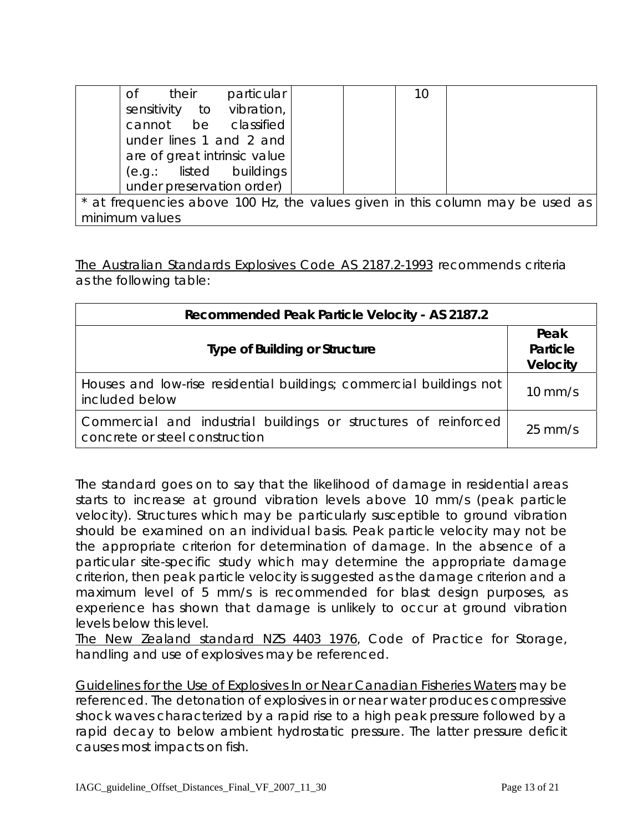|                                                                               | particular<br>their<br>0f    |  |  | 10 |  |
|-------------------------------------------------------------------------------|------------------------------|--|--|----|--|
|                                                                               | sensitivity to vibration,    |  |  |    |  |
|                                                                               | cannot be classified         |  |  |    |  |
|                                                                               | under lines 1 and 2 and      |  |  |    |  |
|                                                                               | are of great intrinsic value |  |  |    |  |
|                                                                               | (e.g.: listed buildings      |  |  |    |  |
|                                                                               | under preservation order)    |  |  |    |  |
| * at frequencies above 100 Hz, the values given in this column may be used as |                              |  |  |    |  |
| minimum values                                                                |                              |  |  |    |  |

The Australian Standards Explosives Code AS 2187.2-1993 recommends criteria as the following table:

| Recommended Peak Particle Velocity - AS 2187.2                                                    |                                     |  |  |  |
|---------------------------------------------------------------------------------------------------|-------------------------------------|--|--|--|
| <b>Type of Building or Structure</b>                                                              | Peak<br>Particle<br><b>Velocity</b> |  |  |  |
| Houses and low-rise residential buildings; commercial buildings not<br>included below             | $10 \text{ mm/s}$                   |  |  |  |
| Commercial and industrial buildings or structures of reinforced<br>concrete or steel construction | $25 \text{ mm/s}$                   |  |  |  |

The standard goes on to say that the likelihood of damage in residential areas starts to increase at ground vibration levels above 10 mm/s (peak particle velocity). Structures which may be particularly susceptible to ground vibration should be examined on an individual basis. Peak particle velocity may not be the appropriate criterion for determination of damage. In the absence of a particular site-specific study which may determine the appropriate damage criterion, then peak particle velocity is suggested as the damage criterion and a maximum level of 5 mm/s is recommended for blast design purposes, as experience has shown that damage is unlikely to occur at ground vibration levels below this level.

The New Zealand standard NZS 4403 1976, Code of Practice for Storage, handling and use of explosives may be referenced.

Guidelines for the Use of Explosives In or Near Canadian Fisheries Waters may be referenced. The detonation of explosives in or near water produces compressive shock waves characterized by a rapid rise to a high peak pressure followed by a rapid decay to below ambient hydrostatic pressure. The latter pressure deficit causes most impacts on fish.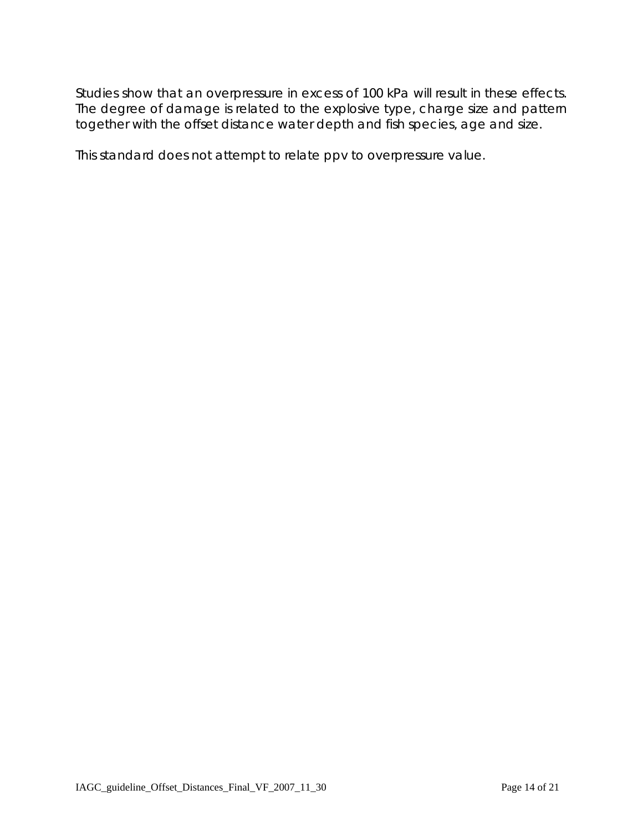Studies show that an overpressure in excess of 100 kPa will result in these effects. The degree of damage is related to the explosive type, charge size and pattern together with the offset distance water depth and fish species, age and size.

This standard does not attempt to relate ppv to overpressure value.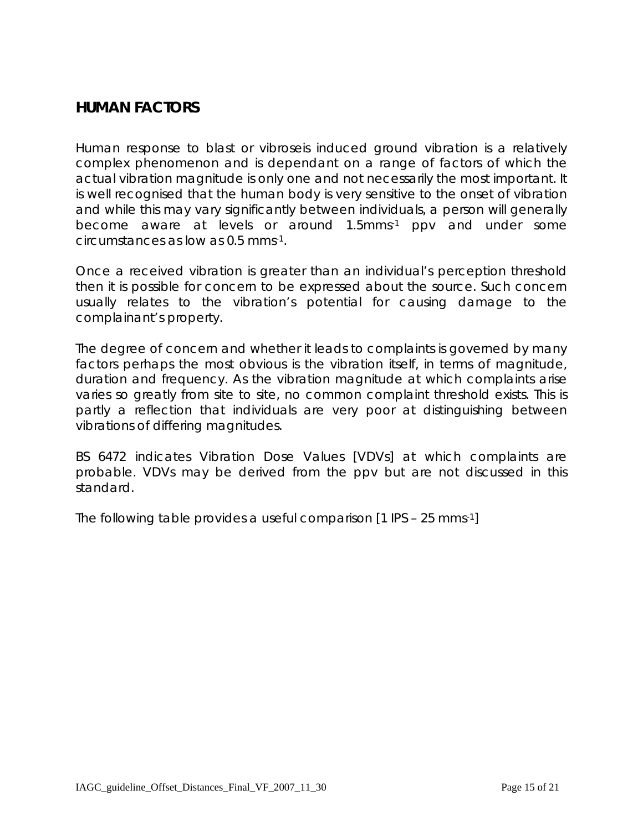## **HUMAN FACTORS**

Human response to blast or vibroseis induced ground vibration is a relatively complex phenomenon and is dependant on a range of factors of which the actual vibration magnitude is only one and not necessarily the most important. It is well recognised that the human body is very sensitive to the onset of vibration and while this may vary significantly between individuals, a person will generally become aware at levels or around 1.5mms-1 ppv and under some circumstances as low as 0.5 mms-1.

Once a received vibration is greater than an individual's perception threshold then it is possible for concern to be expressed about the source. Such concern usually relates to the vibration's potential for causing damage to the complainant's property.

The degree of concern and whether it leads to complaints is governed by many factors perhaps the most obvious is the vibration itself, in terms of magnitude, duration and frequency. As the vibration magnitude at which complaints arise varies so greatly from site to site, no common complaint threshold exists. This is partly a reflection that individuals are very poor at distinguishing between vibrations of differing magnitudes.

BS 6472 indicates Vibration Dose Values [VDVs] at which complaints are probable. VDVs may be derived from the ppv but are not discussed in this standard.

The following table provides a useful comparison [1 IPS – 25 mms-1]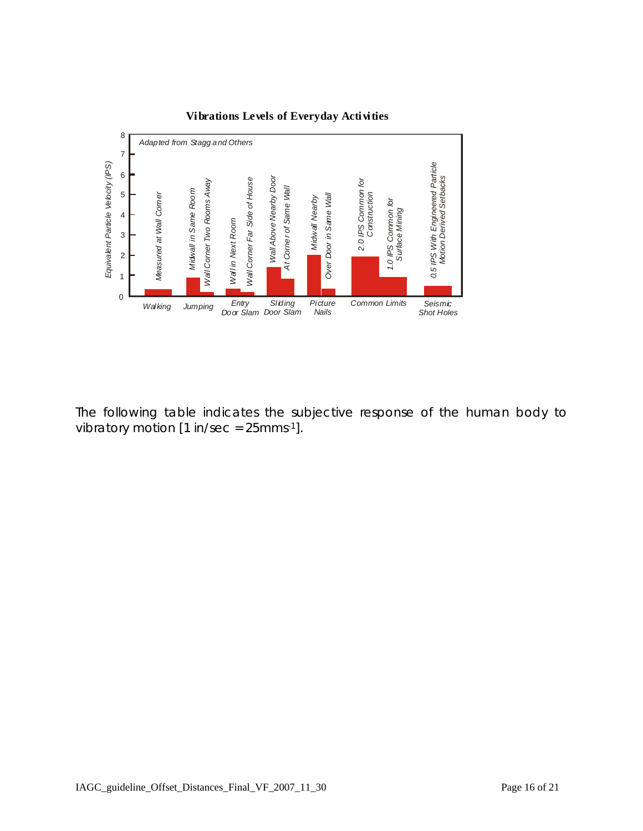

#### **Vibrations Levels of Everyday Activities**

The following table indicates the subjective response of the human body to vibratory motion  $[1 \text{ in/sec} = 25 \text{mm} s^{-1}]$ .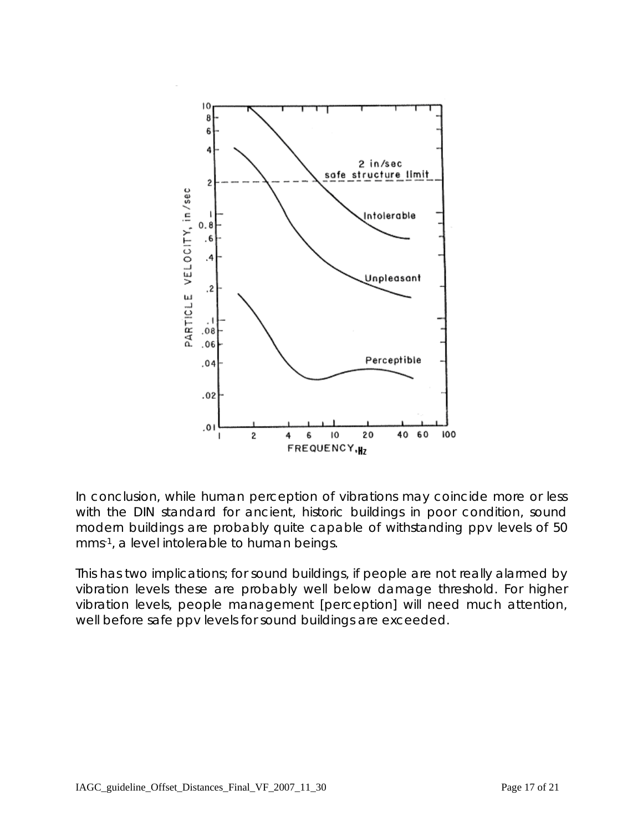

In conclusion, while human perception of vibrations may coincide more or less with the DIN standard for ancient, historic buildings in poor condition, sound modern buildings are probably quite capable of withstanding ppv levels of 50 mms-1, a level intolerable to human beings.

This has two implications; for sound buildings, if people are not really alarmed by vibration levels these are probably well below damage threshold. For higher vibration levels, people management [perception] will need much attention, well before safe ppv levels for sound buildings are exceeded.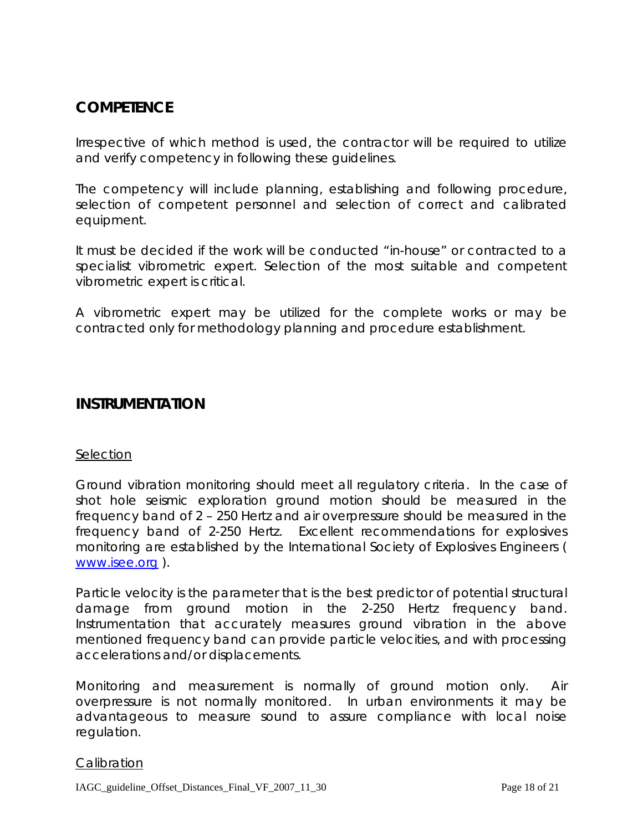## **COMPETENCE**

Irrespective of which method is used, the contractor will be required to utilize and verify competency in following these guidelines.

The competency will include planning, establishing and following procedure, selection of competent personnel and selection of correct and calibrated equipment.

It must be decided if the work will be conducted "in-house" or contracted to a specialist vibrometric expert. Selection of the most suitable and competent vibrometric expert is critical.

A vibrometric expert may be utilized for the complete works or may be contracted only for methodology planning and procedure establishment.

#### **INSTRUMENTATION**

#### **Selection**

Ground vibration monitoring should meet all regulatory criteria. In the case of shot hole seismic exploration ground motion should be measured in the frequency band of 2 – 250 Hertz and air overpressure should be measured in the frequency band of 2-250 Hertz. Excellent recommendations for explosives monitoring are established by the International Society of Explosives Engineers ( [www.isee.org](http://www.isee.org/) ).

Particle velocity is the parameter that is the best predictor of potential structural damage from ground motion in the 2-250 Hertz frequency band. Instrumentation that accurately measures ground vibration in the above mentioned frequency band can provide particle velocities, and with processing accelerations and/or displacements.

Monitoring and measurement is normally of ground motion only. Air overpressure is not normally monitored. In urban environments it may be advantageous to measure sound to assure compliance with local noise regulation.

#### **Calibration**

IAGC\_guideline\_Offset\_Distances\_Final\_VF\_2007\_11\_30 Page 18 of 21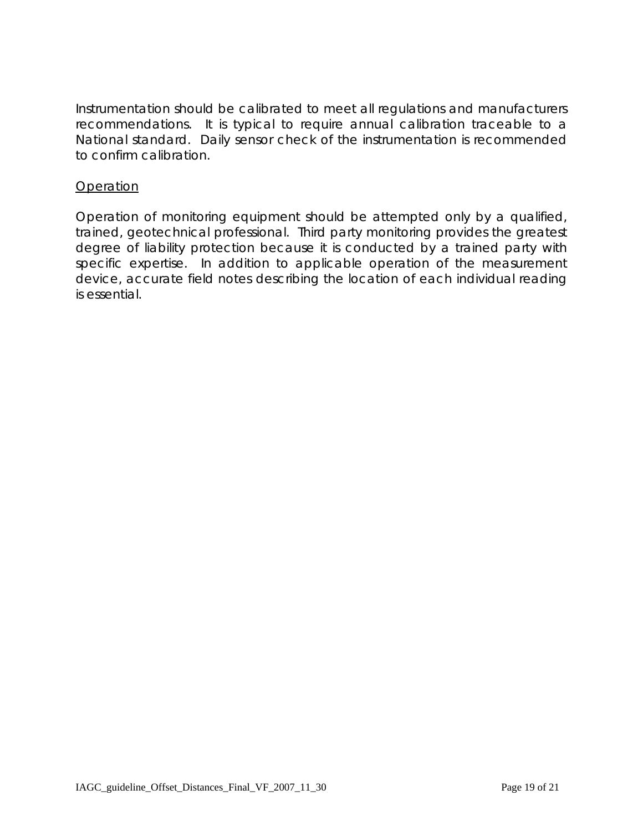Instrumentation should be calibrated to meet all regulations and manufacturers recommendations. It is typical to require annual calibration traceable to a National standard. Daily sensor check of the instrumentation is recommended to confirm calibration.

#### **Operation**

Operation of monitoring equipment should be attempted only by a qualified, trained, geotechnical professional. Third party monitoring provides the greatest degree of liability protection because it is conducted by a trained party with specific expertise. In addition to applicable operation of the measurement device, accurate field notes describing the location of each individual reading is essential.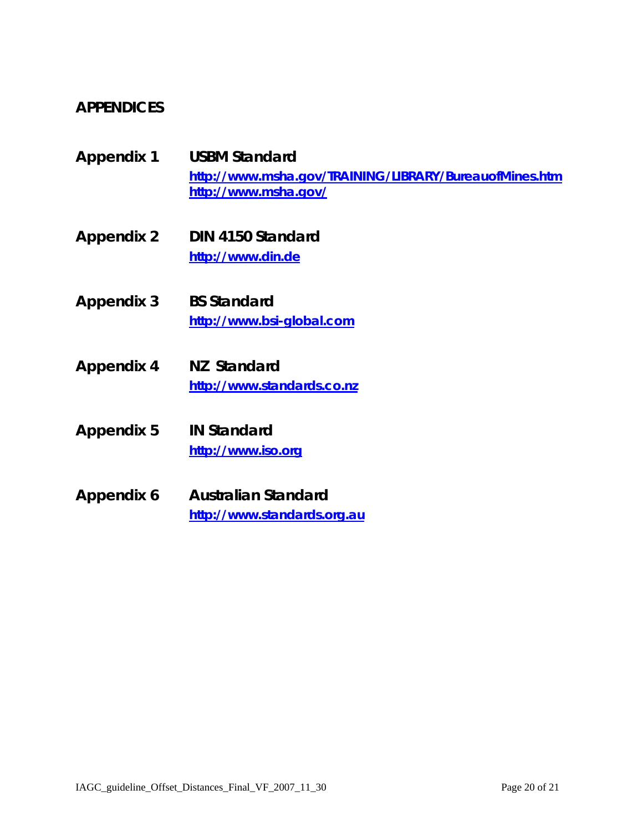## **APPENDICES**

- **Appendix 1 USBM Standard <http://www.msha.gov/TRAINING/LIBRARY/BureauofMines.htm> <http://www.msha.gov/>**
- **Appendix 2 DIN 4150 Standard [http://www.din.de](http://www.din.de/)**
- **Appendix 3 BS Standard [http://www.bsi-global.com](http://www.bsi-global.com/)**
- **Appendix 4 NZ Standard [http://www.standards.co.nz](http://www.standards.co.nz/)**
- **Appendix 5 IN Standard [http://www.iso.org](http://www.iso.org/)**
- **Appendix 6 Australian Standard [http://www.standards.org.au](http://www.standards.org.au/)**